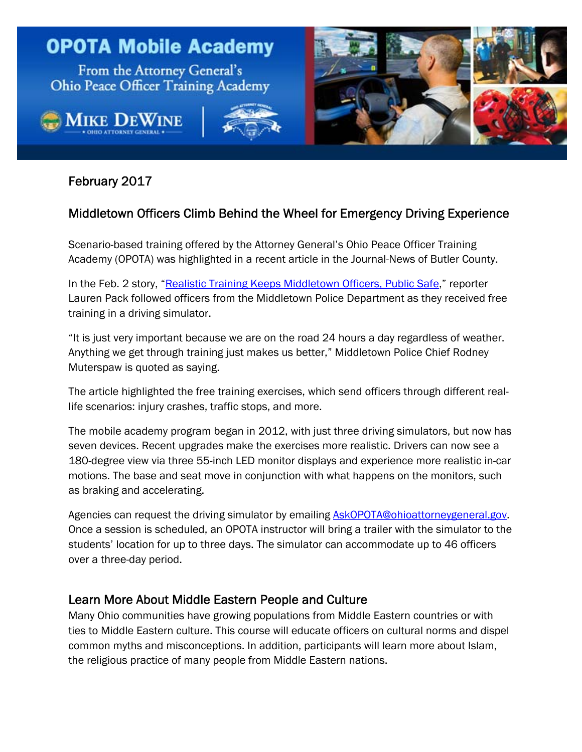

# February 2017

I

# Middletown Officers Climb Behind the Wheel for Emergency Driving Experience

Scenario-based training offered by the Attorney General's Ohio Peace Officer Training Academy (OPOTA) was highlighted in a recent article in the Journal-News of Butler County.

In the Feb. 2 story, ["Realistic Training Keeps Middletown Officers, Public Safe](http://www.journal-news.com/news/realistic-training-keeps-middletown-officers-public-safe/S8UZCaFDjsSoEBzcQdIk8O/)," reporter Lauren Pack followed officers from the Middletown Police Department as they received free training in a driving simulator.

"It is just very important because we are on the road 24 hours a day regardless of weather. Anything we get through training just makes us better," Middletown Police Chief Rodney Muterspaw is quoted as saying.

The article highlighted the free training exercises, which send officers through different reallife scenarios: injury crashes, traffic stops, and more.

The mobile academy program began in 2012, with just three driving simulators, but now has seven devices. Recent upgrades make the exercises more realistic. Drivers can now see a 180-degree view via three 55-inch LED monitor displays and experience more realistic in-car motions. The base and seat move in conjunction with what happens on the monitors, such as braking and accelerating.

Agencies can request the driving simulator by emailing **AskOPOTA@ohioattorneygeneral.gov.** Once a session is scheduled, an OPOTA instructor will bring a trailer with the simulator to the students' location for up to three days. The simulator can accommodate up to 46 officers over a three-day period.

### Learn More About Middle Eastern People and Culture

Many Ohio communities have growing populations from Middle Eastern countries or with ties to Middle Eastern culture. This course will educate officers on cultural norms and dispel common myths and misconceptions. In addition, participants will learn more about Islam, the religious practice of many people from Middle Eastern nations.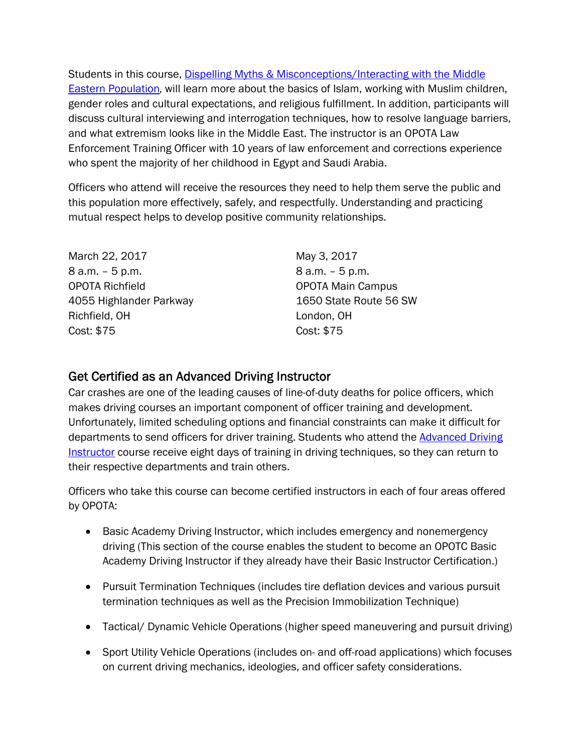[Students in this course, Dispelling Myths & Misconceptions/Interacting with the Middle](http://www.ohioattorneygeneral.gov/Law-Enforcement/Ohio-Peace-Officer-Training-Academy/Course-Catalog/Course-Categories/Human-Relations-Courses/Dispelling-Myths-Misconceptions-Interacting-with)  Eastern Population*,* will learn more about the basics of Islam, working with Muslim children, gender roles and cultural expectations, and religious fulfillment. In addition, participants will discuss cultural interviewing and interrogation techniques, how to resolve language barriers, and what extremism looks like in the Middle East. The instructor is an OPOTA Law Enforcement Training Officer with 10 years of law enforcement and corrections experience who spent the majority of her childhood in Egypt and Saudi Arabia.

Officers who attend will receive the resources they need to help them serve the public and this population more effectively, safely, and respectfully. Understanding and practicing mutual respect helps to develop positive community relationships.

March 22, 2017 8 a.m. – 5 p.m. OPOTA Richfield 4055 Highlander Parkway Richfield, OH Cost: \$75

May 3, 2017 8 a.m. – 5 p.m. OPOTA Main Campus 1650 State Route 56 SW London, OH Cost: \$75

### Get Certified as an Advanced Driving Instructor

Car crashes are one of the leading causes of line-of-duty deaths for police officers, which makes driving courses an important component of officer training and development. Unfortunately, limited scheduling options and financial constraints can make it difficult for [departments to send officers for driver training. Students who attend the Advanced Driving](http://www.ohioattorneygeneral.gov/Law-Enforcement/Ohio-Peace-Officer-Training-Academy/Course-Catalog/Course-Categories/Driving-Courses/Advanced-Driving-Instructor) Instructor course receive eight days of training in driving techniques, so they can return to their respective departments and train others.

Officers who take this course can become certified instructors in each of four areas offered by OPOTA:

- Basic Academy Driving Instructor, which includes emergency and nonemergency driving (This section of the course enables the student to become an OPOTC Basic Academy Driving Instructor if they already have their Basic Instructor Certification.)
- Pursuit Termination Techniques (includes tire deflation devices and various pursuit termination techniques as well as the Precision Immobilization Technique)
- Tactical/ Dynamic Vehicle Operations (higher speed maneuvering and pursuit driving)
- Sport Utility Vehicle Operations (includes on- and off-road applications) which focuses on current driving mechanics, ideologies, and officer safety considerations.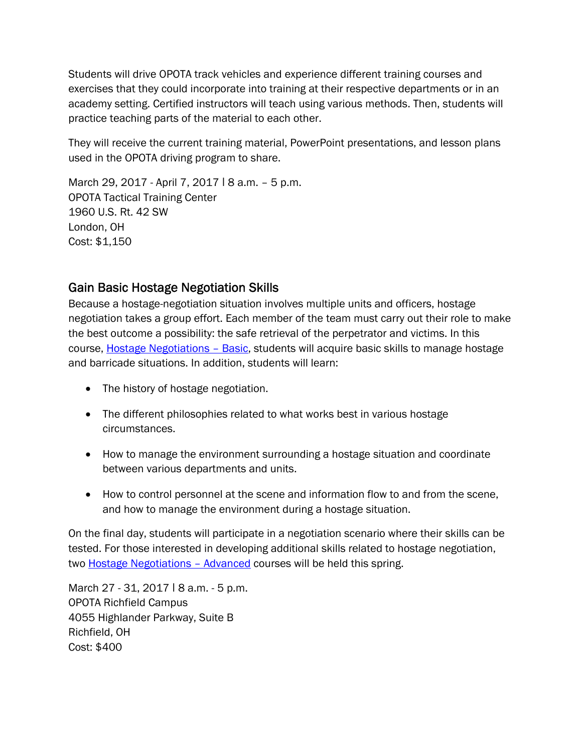Students will drive OPOTA track vehicles and experience different training courses and exercises that they could incorporate into training at their respective departments or in an academy setting. Certified instructors will teach using various methods. Then, students will practice teaching parts of the material to each other.

They will receive the current training material, PowerPoint presentations, and lesson plans used in the OPOTA driving program to share.

March 29, 2017 - April 7, 2017 | 8 a.m. - 5 p.m. OPOTA Tactical Training Center 1960 U.S. Rt. 42 SW London, OH Cost: \$1,150

## Gain Basic Hostage Negotiation Skills

Because a hostage-negotiation situation involves multiple units and officers, hostage negotiation takes a group effort. Each member of the team must carry out their role to make the best outcome a possibility: the safe retrieval of the perpetrator and victims. In this course, [Hostage Negotiations – Basic](http://www.ohioattorneygeneral.gov/Law-Enforcement/Ohio-Peace-Officer-Training-Academy/Course-Catalog/Course-Categories/Special-Operations-Courses/Hostage-Negotiations-Basic), students will acquire basic skills to manage hostage and barricade situations. In addition, students will learn:

- The history of hostage negotiation.
- The different philosophies related to what works best in various hostage circumstances.
- How to manage the environment surrounding a hostage situation and coordinate between various departments and units.
- How to control personnel at the scene and information flow to and from the scene, and how to manage the environment during a hostage situation.

On the final day, students will participate in a negotiation scenario where their skills can be tested. For those interested in developing additional skills related to hostage negotiation, two **Hostage Negotiations - Advanced courses will be held this spring.** 

March 27 - 31, 2017 | 8 a.m. - 5 p.m. OPOTA Richfield Campus 4055 Highlander Parkway, Suite B Richfield, OH Cost: \$400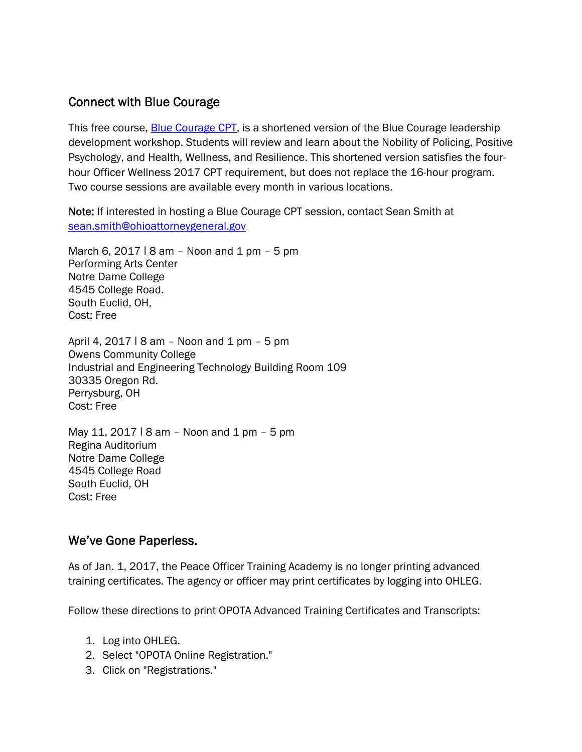## Connect with Blue Courage

This free course, [Blue Courage CPT](http://www.ohioattorneygeneral.gov/Law-Enforcement/Ohio-Peace-Officer-Training-Academy/Course-Catalog/Course-Categories/Officer-and-Community-Wellness/Blue-Courage-CPT-Session), is a shortened version of the Blue Courage leadership development workshop. Students will review and learn about the Nobility of Policing, Positive Psychology, and Health, Wellness, and Resilience. This shortened version satisfies the fourhour Officer Wellness 2017 CPT requirement, but does not replace the 16-hour program. Two course sessions are available every month in various locations.

Note: If interested in hosting a Blue Courage CPT session, contact Sean Smith at sean.smith@ohioattorneygeneral.gov

March 6, 2017  $\sqrt{18}$  am – Noon and 1 pm – 5 pm Performing Arts Center Notre Dame College 4545 College Road. South Euclid, OH, Cost: Free

April 4, 2017  $\mid$  8 am – Noon and 1 pm – 5 pm Owens Community College Industrial and Engineering Technology Building Room 109 30335 Oregon Rd. Perrysburg, OH Cost: Free

May 11, 2017  $\sqrt{18}$  am – Noon and 1 pm – 5 pm Regina Auditorium Notre Dame College 4545 College Road South Euclid, OH Cost: Free

#### We've Gone Paperless.

As of Jan. 1, 2017, the Peace Officer Training Academy is no longer printing advanced training certificates. The agency or officer may print certificates by logging into OHLEG.

Follow these directions to print OPOTA Advanced Training Certificates and Transcripts:

- 1. Log into OHLEG.
- 2. Select "OPOTA Online Registration."
- 3. Click on "Registrations."